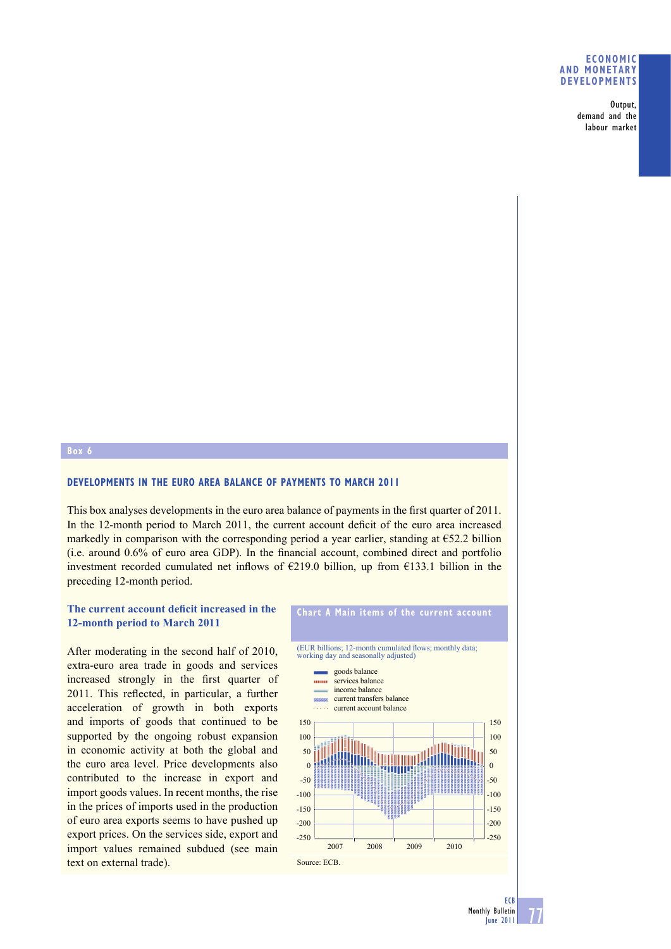#### **ECONOMIC AND MONETARY DEVELOPMENTS**

Output, demand and the labour market

## **Box 6**

#### **DEVELOPMENTS IN THE EURO AREA BALANCE OF PAYMENTS TO MARCH 2011**

This box analyses developments in the euro area balance of payments in the first quarter of 2011. In the 12-month period to March 2011, the current account deficit of the euro area increased markedly in comparison with the corresponding period a year earlier, standing at €52.2 billion  $(i.e.$  around  $0.6\%$  of euro area GDP). In the financial account, combined direct and portfolio investment recorded cumulated net inflows of  $E$ 219.0 billion, up from  $E$ 133.1 billion in the preceding 12-month period.

# **The current account deficit increased in the 12-month period to March 2011**

After moderating in the second half of 2010, extra-euro area trade in goods and services increased strongly in the first quarter of 2011. This reflected, in particular, a further acceleration of growth in both exports and imports of goods that continued to be supported by the ongoing robust expansion in economic activity at both the global and the euro area level. Price developments also contributed to the increase in export and import goods values. In recent months, the rise in the prices of imports used in the production of euro area exports seems to have pushed up export prices. On the services side, export and import values remained subdued (see main text on external trade).



**Chart A Main items of the current account**

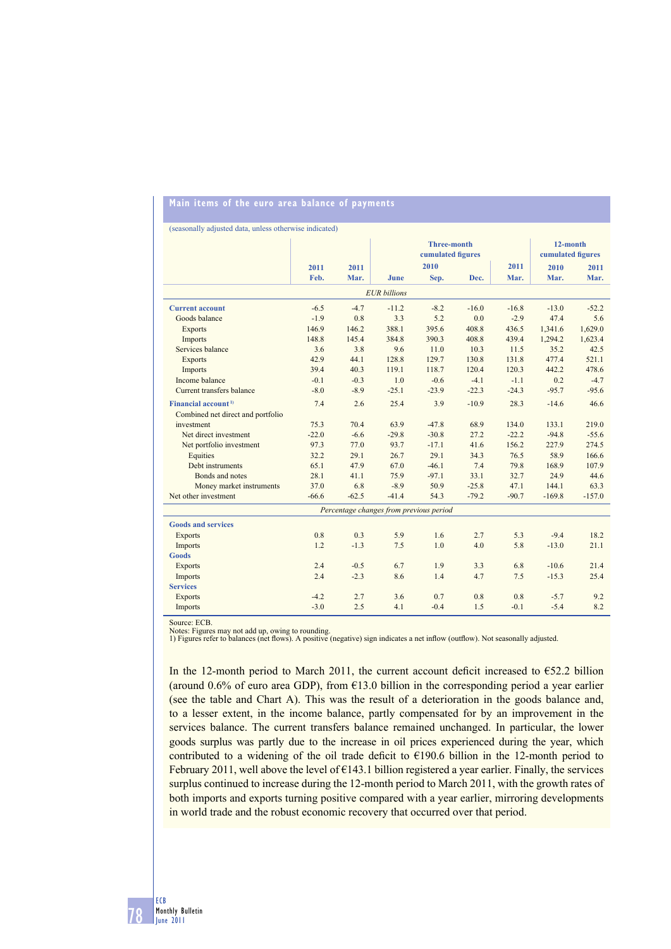# **Main items of the euro area balance of payments**

(seasonally adjusted data, unless otherwise indicated)

|                                         |         |                | <b>Three-month</b><br>cumulated figures |         |         |         | 12-month<br>cumulated figures |          |
|-----------------------------------------|---------|----------------|-----------------------------------------|---------|---------|---------|-------------------------------|----------|
|                                         | 2011    | 2011           |                                         | 2010    |         | 2011    | 2010                          | 2011     |
|                                         | Feb.    | Mar.           | June                                    | Sep.    | Dec.    | Mar.    | Mar.                          | Mar.     |
|                                         |         |                |                                         |         |         |         |                               |          |
| <b>EUR</b> billions                     |         |                |                                         |         |         |         |                               |          |
| <b>Current account</b>                  | $-6.5$  | $-4.7$         | $-11.2$                                 | $-8.2$  | $-16.0$ | $-16.8$ | $-13.0$                       | $-52.2$  |
| Goods balance                           | $-1.9$  | 0.8            | 3.3                                     | 5.2     | 0.0     | $-2.9$  | 47.4                          | 5.6      |
| <b>Exports</b>                          | 146.9   | 146.2          | 388.1                                   | 395.6   | 408.8   | 436.5   | 1,341.6                       | 1,629.0  |
| Imports                                 | 148.8   | 145.4          | 384.8                                   | 390.3   | 408.8   | 439.4   | 1,294.2                       | 1,623.4  |
| Services balance                        | 3.6     | 3.8            | 9.6                                     | 11.0    | 10.3    | 11.5    | 35.2                          | 42.5     |
| <b>Exports</b>                          | 42.9    | 44.1           | 128.8                                   | 129.7   | 130.8   | 131.8   | 477.4                         | 521.1    |
| Imports                                 | 39.4    | 40.3           | 119.1                                   | 118.7   | 120.4   | 120.3   | 442.2                         | 478.6    |
| Income balance                          | $-0.1$  | $-0.3$         | 1.0                                     | $-0.6$  | $-4.1$  | $-1.1$  | 0.2                           | $-4.7$   |
| Current transfers balance               | $-8.0$  | $-8.9$         | $-25.1$                                 | $-23.9$ | $-22.3$ | $-24.3$ | $-95.7$                       | $-95.6$  |
| Financial account <sup>1)</sup>         | 7.4     | 2.6            | 25.4                                    | 3.9     | $-10.9$ | 28.3    | $-14.6$                       | 46.6     |
| Combined net direct and portfolio       |         |                |                                         |         |         |         |                               |          |
| investment                              | 75.3    | 70.4           | 63.9                                    | $-47.8$ | 68.9    | 134.0   | 133.1                         | 219.0    |
| Net direct investment                   | $-22.0$ | $-6.6$         | $-29.8$                                 | $-30.8$ | 27.2    | $-22.2$ | $-94.8$                       | $-55.6$  |
| Net portfolio investment                | 97.3    | 77.0           | 93.7                                    | $-17.1$ | 41.6    | 156.2   | 227.9                         | 274.5    |
| Equities                                | 32.2    | 29.1           | 26.7                                    | 29.1    | 34.3    | 76.5    | 58.9                          | 166.6    |
| Debt instruments                        | 65.1    | 47.9           | 67.0                                    | $-46.1$ | 7.4     | 79.8    | 168.9                         | 107.9    |
| Bonds and notes                         | 28.1    | 41.1           | 75.9                                    | $-97.1$ | 33.1    | 32.7    | 24.9                          | 44.6     |
| Money market instruments                | 37.0    | 6.8            | $-8.9$                                  | 50.9    | $-25.8$ | 47.1    | 144.1                         | 63.3     |
| Net other investment                    | $-66.6$ | $-62.5$        | $-41.4$                                 | 54.3    | $-79.2$ | $-90.7$ | $-169.8$                      | $-157.0$ |
| Percentage changes from previous period |         |                |                                         |         |         |         |                               |          |
| <b>Goods and services</b>               |         |                |                                         |         |         |         |                               |          |
| <b>Exports</b>                          | 0.8     | 0 <sup>3</sup> | 5.9                                     | 1.6     | 2.7     | 5.3     | $-9.4$                        | 18.2     |
| Imports                                 | 1.2     | $-1.3$         | 7.5                                     | 1.0     | 4.0     | 5.8     | $-13.0$                       | 21.1     |
| <b>Goods</b>                            |         |                |                                         |         |         |         |                               |          |
| <b>Exports</b>                          | 2.4     | $-0.5$         | 6.7                                     | 1.9     | 3.3     | 6.8     | $-10.6$                       | 21.4     |
| Imports                                 | 2.4     | $-2.3$         | 8.6                                     | 1.4     | 4.7     | 7.5     | $-15.3$                       | 25.4     |
| <b>Services</b>                         |         |                |                                         |         |         |         |                               |          |
| <b>Exports</b>                          | $-4.2$  | 2.7            | 3.6                                     | 0.7     | 0.8     | 0.8     | $-5.7$                        | 9.2      |
| Imports                                 | $-3.0$  | 2.5            | 4.1                                     | $-0.4$  | 1.5     | $-0.1$  | $-5.4$                        | 8.2      |

Source: ECB.

Notes: Figures may not add up, owing to rounding.<br>1) Figures refer to balances (net flows). A positive (negative) sign indicates a net inflow (outflow). Not seasonally adjusted.

In the 12-month period to March 2011, the current account deficit increased to  $652.2$  billion (around 0.6% of euro area GDP), from  $\epsilon$ 13.0 billion in the corresponding period a year earlier (see the table and Chart A). This was the result of a deterioration in the goods balance and, to a lesser extent, in the income balance, partly compensated for by an improvement in the services balance. The current transfers balance remained unchanged. In particular, the lower goods surplus was partly due to the increase in oil prices experienced during the year, which contributed to a widening of the oil trade deficit to  $\epsilon$ 190.6 billion in the 12-month period to February 2011, well above the level of €143.1 billion registered a year earlier. Finally, the services surplus continued to increase during the 12-month period to March 2011, with the growth rates of both imports and exports turning positive compared with a year earlier, mirroring developments in world trade and the robust economic recovery that occurred over that period.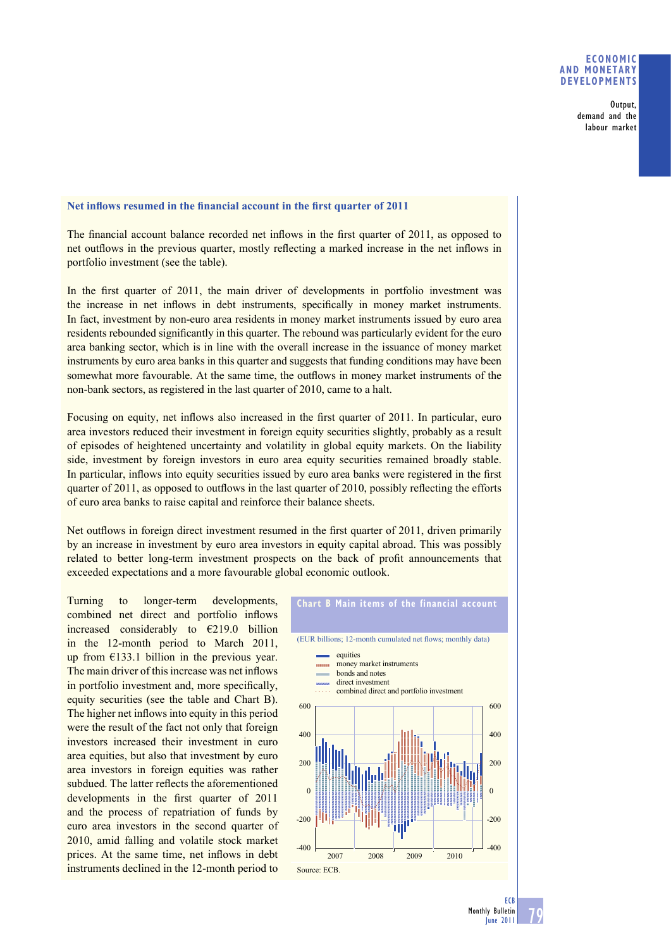### **ECONOMIC AND MONETARY DEVELOPMENTS**

Output, demand and the labour market

## Net inflows resumed in the financial account in the first quarter of 2011

The financial account balance recorded net inflows in the first quarter of 2011, as opposed to net outflows in the previous quarter, mostly reflecting a marked increase in the net inflows in portfolio investment (see the table).

In the first quarter of 2011, the main driver of developments in portfolio investment was the increase in net inflows in debt instruments, specifically in money market instruments. In fact, investment by non-euro area residents in money market instruments issued by euro area residents rebounded significantly in this quarter. The rebound was particularly evident for the euro area banking sector, which is in line with the overall increase in the issuance of money market instruments by euro area banks in this quarter and suggests that funding conditions may have been somewhat more favourable. At the same time, the outflows in money market instruments of the non-bank sectors, as registered in the last quarter of 2010, came to a halt.

Focusing on equity, net inflows also increased in the first quarter of 2011. In particular, euro area investors reduced their investment in foreign equity securities slightly, probably as a result of episodes of heightened uncertainty and volatility in global equity markets. On the liability side, investment by foreign investors in euro area equity securities remained broadly stable. In particular, inflows into equity securities issued by euro area banks were registered in the first quarter of 2011, as opposed to outflows in the last quarter of 2010, possibly reflecting the efforts of euro area banks to raise capital and reinforce their balance sheets.

Net outflows in foreign direct investment resumed in the first quarter of  $2011$ , driven primarily by an increase in investment by euro area investors in equity capital abroad. This was possibly related to better long-term investment prospects on the back of profit announcements that exceeded expectations and a more favourable global economic outlook.

Turning to longer-term developments, combined net direct and portfolio inflows increased considerably to €219.0 billion in the 12-month period to March 2011, up from €133.1 billion in the previous year. The main driver of this increase was net inflows in portfolio investment and, more specifically, equity securities (see the table and Chart B). The higher net inflows into equity in this period were the result of the fact not only that foreign investors increased their investment in euro area equities, but also that investment by euro area investors in foreign equities was rather subdued. The latter reflects the aforementioned developments in the first quarter of 2011 and the process of repatriation of funds by euro area investors in the second quarter of 2010, amid falling and volatile stock market prices. At the same time, net inflows in debt instruments declined in the 12-month period to